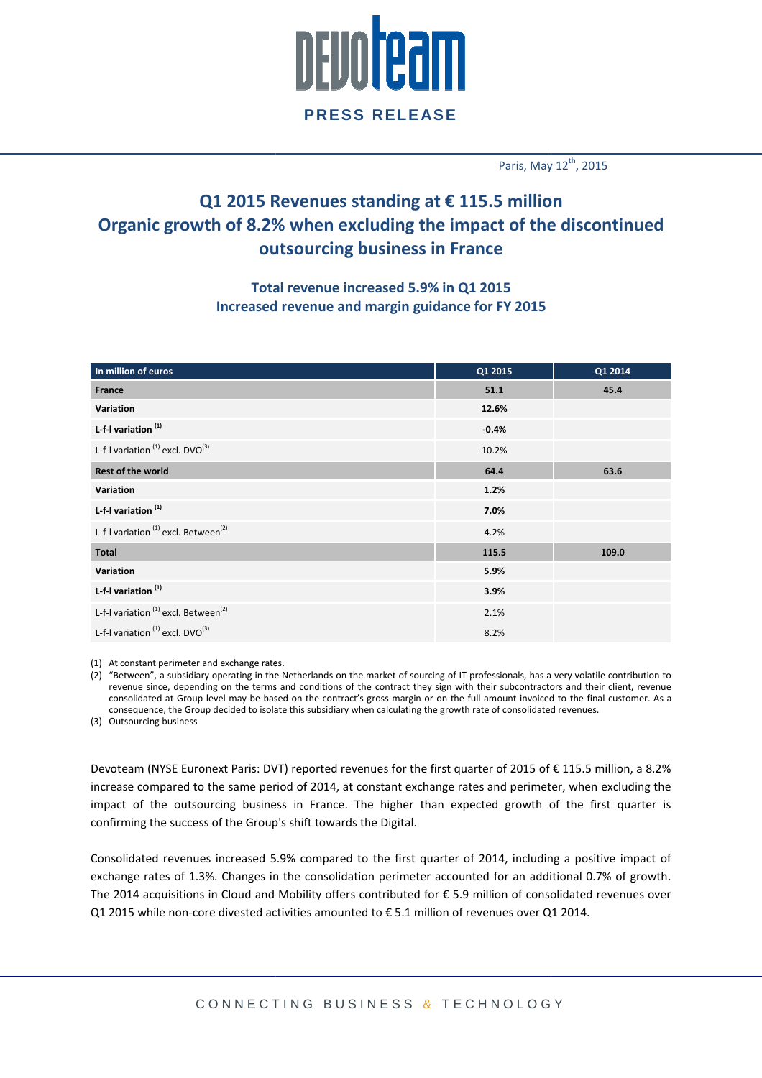

### **PRESS RELEASE**

Paris, May  $12<sup>th</sup>$ , 2015

## **Q1 2015 Revenues standing at € 115.5 million Organic growth of 8.2% when excluding the impact of the discontinued outsourcing business in France**

#### **Total Total revenue increased 5.9% in Q1 2015 Increased revenue and margin guidance for FY 2015**

| In million of euros                                         | Q1 2015 | Q1 2014 |
|-------------------------------------------------------------|---------|---------|
| France                                                      | 51.1    | 45.4    |
| Variation                                                   | 12.6%   |         |
| L-f-I variation <sup>(1)</sup>                              | $-0.4%$ |         |
| L-f-I variation <sup>(1)</sup> excl. DVO <sup>(3)</sup>     | 10.2%   |         |
| <b>Rest of the world</b>                                    | 64.4    | 63.6    |
| Variation                                                   | 1.2%    |         |
| L-f-I variation <sup>(1)</sup>                              | 7.0%    |         |
| L-f-I variation <sup>(1)</sup> excl. Between <sup>(2)</sup> | 4.2%    |         |
| Total                                                       | 115.5   | 109.0   |
| Variation                                                   | 5.9%    |         |
| L-f-I variation <sup>(1)</sup>                              | 3.9%    |         |
| L-f-I variation <sup>(1)</sup> excl. Between <sup>(2)</sup> | 2.1%    |         |
| L-f-I variation <sup>(1)</sup> excl. DVO <sup>(3)</sup>     | 8.2%    |         |

(1) At constant perimeter and exchange rates.

(2) "Between", a subsidiary operating in the Netherlands on the market of sourcing of IT professionals, has a very volatile contribution to revenue since, depending on the terms and conditions of the contract they sign with their subcontractors and their client, re revenue consolidated at Group level may be based on the contract's gross margin or on the full amount invoiced to the final customer. As a consequence, the Group decided to isolate this subsidiary when calculating the growth rate of consolidated revenues.

(3) Outsourcing business

Devoteam (NYSE Euronext Paris: DVT) reported revenues for the first quarter of 2015 of € 115.5 million, a 8.2% increase compared to the same period of 2014, at constant exchange rates and perimeter, when excluding the impact of the outsourcing business in France. The higher than expected growth of the first quarter is confirming the success of the Group's shift towards the Digital.

Consolidated revenues increased 5.9% compared to the first quarter of 2014, including a positive impact of exchange rates of 1.3%. Changes in the consolidation perimeter accounted for an additional 0.7% of growth. exchange rates of 1.3%. Changes in the consolidation perimeter accounted for an additional 0.7% of growth.<br>The 2014 acquisitions in Cloud and Mobility offers contributed for € 5.9 million of consolidated revenues over Q1 2015 while non-core divested activities amounted to  $\epsilon$  5.1 million of revenues over Q1 2014.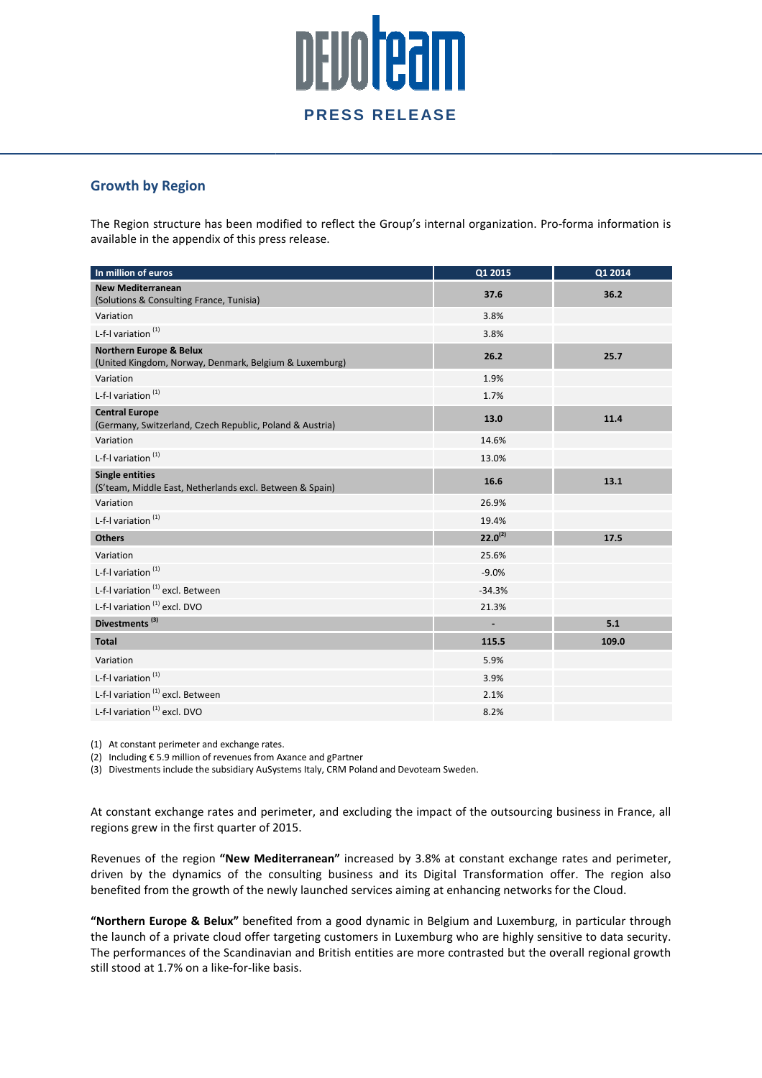# <u>DEVOITOAM</u> **PRESS RELEASE**

#### **Growth by Region**

The Region structure has been modified to reflect the Group's internal organization. Pro-forma information is available in the appendix of this press release.

| In million of euros                                                                          | Q1 2015        | Q1 2014 |
|----------------------------------------------------------------------------------------------|----------------|---------|
| <b>New Mediterranean</b><br>(Solutions & Consulting France, Tunisia)                         | 37.6           | 36.2    |
| Variation                                                                                    | 3.8%           |         |
| L-f-I variation $(1)$                                                                        | 3.8%           |         |
| <b>Northern Europe &amp; Belux</b><br>(United Kingdom, Norway, Denmark, Belgium & Luxemburg) | 26.2           | 25.7    |
| Variation                                                                                    | 1.9%           |         |
| L-f-I variation <sup>(1)</sup>                                                               | 1.7%           |         |
| <b>Central Europe</b><br>(Germany, Switzerland, Czech Republic, Poland & Austria)            | 13.0           | 11.4    |
| Variation                                                                                    | 14.6%          |         |
| L-f-I variation <sup>(1)</sup>                                                               | 13.0%          |         |
| <b>Single entities</b><br>(S'team, Middle East, Netherlands excl. Between & Spain)           | 16.6           | 13.1    |
| Variation                                                                                    | 26.9%          |         |
| L-f-I variation <sup>(1)</sup>                                                               | 19.4%          |         |
| <b>Others</b>                                                                                | $22.0^{(2)}$   | 17.5    |
| Variation                                                                                    | 25.6%          |         |
| L-f-I variation <sup>(1)</sup>                                                               | $-9.0%$        |         |
| L-f-I variation <sup>(1)</sup> excl. Between                                                 | $-34.3%$       |         |
| L-f-I variation <sup>(1)</sup> excl. DVO                                                     | 21.3%          |         |
| Divestments <sup>(3)</sup>                                                                   | $\blacksquare$ | 5.1     |
| <b>Total</b>                                                                                 | 115.5          | 109.0   |
| Variation                                                                                    | 5.9%           |         |
| L-f-I variation $(1)$                                                                        | 3.9%           |         |
| L-f-I variation <sup>(1)</sup> excl. Between                                                 | 2.1%           |         |
| L-f-I variation (1) excl. DVO                                                                | 8.2%           |         |

(1) At constant perimeter and exchange rates.

(2) Including € 5.9 million of revenues from Axance and gPartner

(3) Divestments include the subsidiary AuSystems Italy, CRM Poland and Devoteam Sweden.

At constant exchange rates and perimeter, and excluding the impact of the outsourcing business in France, all regions grew in the first quarter of 2015 2015.

Revenues of the region "New Mediterranean" increased by 3.8% at constant exchange rates and perimeter, driven by the dynamics of the consulting business and its Digital Transformation offer. The region also benefited from the growth of the newly launched services aiming at enhancing networks for the Cloud.

"Northern Europe & Belux" benefited from a good dynamic in Belgium and Luxemburg, in particular through the launch of a private cloud offer targeting customers in Luxemburg who are highly sensitive to data security. The performances of the Scandinavian and British entities are more contrasted but the overall regional growth still stood at 1.7% on a like-for-like basis.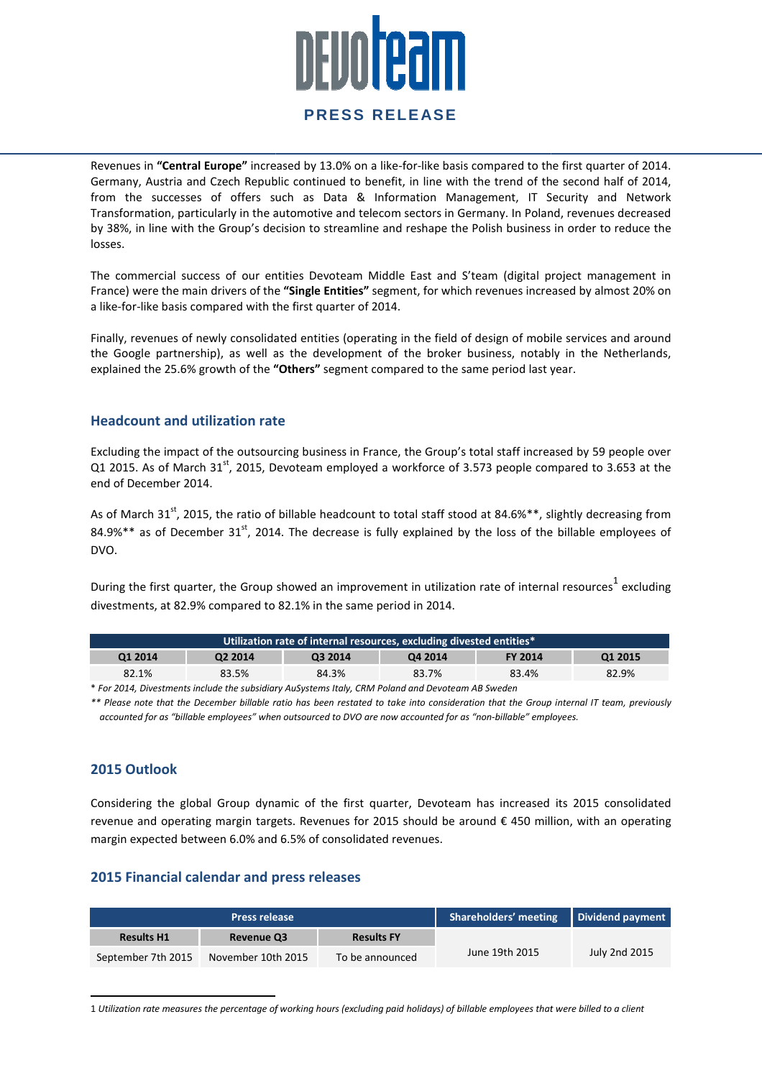# <u>nevoteam</u>

#### **PRESS RELEASE**

Revenues in "Central Europe" increased by 13.0% on a like-for-like basis compared to the first quarter of 2014. Germany, Austria and Czech Republic continued to benefit, in line with the trend of the second half of 2014, from the successes of offers such as Data & Information Management, IT Security and Network Transformation, particularly in the automotive and telecom sectors in Germany. In Poland, revenues decreased by 38%, in line with the Group's decision to streamline and reshape the Polish business in order losses. end of the second half of 2014,<br>nt, IT Security and Network<br>In Poland, revenues decreased<br>business in order to reduce the

The commercial success of our entities Devoteam Middle East and S'team (digital project management in France) were the main drivers of the "Single Entities" segment, for which revenues increased by almost 20% on a like-for-like basis compared with the fi first quarter of 2014.

Finally, revenues of newly consolidated entities (operating in the field of design of mobile services and around Finally, revenues of newly consolidated entities (operating in the field of design of mobile services and around<br>the Google partnership), as well as the development of the broker business, notably in the Netherlands, explained the 25.6% growth of the "Others" segment compared to the same period last year.

#### **Headcount and utilization rate**

Excluding the impact of the outsourcing business in France, the Group's total staff increased by 59 people over Q1 2015. As of March 31st, 2015, Devoteam employed a workforce of 3.573 people compared to 3.653 at the end of December 2014.

As of March 31<sup>st</sup>, 2015, the ratio of billable headcount to total staff stood at 84.6%\*\*, slightly decreasing from As of March 31<sup>st</sup>, 2015, the ratio of billable headcount to total staff stood at 84.6%\*\*, slightly decreasing from<br>84.9%\*\* as of December 31<sup>st</sup>, 2014. The decrease is fully explained by the loss of the billable employees DVO.

During the first quarter, the Group showed an improvement in utilization rate of internal resources<sup>1</sup> excluding divestments, at 82.9% compared to 82.1% in the same period in 2014.

| Utilization rate of internal resources, excluding divested entities* |                     |         |         |                |         |
|----------------------------------------------------------------------|---------------------|---------|---------|----------------|---------|
| Q1 2014                                                              | Q <sub>2</sub> 2014 | Q3 2014 | Q4 2014 | <b>FY 2014</b> | Q1 2015 |
| 82.1%                                                                | 83.5%               | 84.3%   | 83.7%   | 83.4%          | 82.9%   |

\* *For 2014, Divestments include the subsidiary AuSystems AuSystems Italy, CRM Poland and Devoteam AB Sweden* 

*\*\* Please note that the December billable ratio has been restated to take into consideration that the Group internal IT team, pr previously accounted for as "billable employees" when outsourced to DVO are now accounte accounted for as "non-billable" employees. billable"* 

#### **2015 Outlook**

 $\overline{a}$ 

Considering the global Group dynamic of the first quarter, Devoteam has increased its 2015 consolidated revenue and operating margin targets. Revenues for 2015 should be around € 450 million, with an operating margin expected between 6.0% and 6.5% of consolidated revenues.

#### **2015 Financial calendar and press releases**

 $\overline{a}$ 

|                    | <b>Press release</b> |                   | <b>Shareholders' meeting</b> | Dividend payment |
|--------------------|----------------------|-------------------|------------------------------|------------------|
| <b>Results H1</b>  | <b>Revenue Q3</b>    | <b>Results FY</b> |                              |                  |
| September 7th 2015 | November 10th 2015   | To be announced   | June 19th 2015               | July 2nd 2015    |

1 *Utilization rate measures the percentage of working hours (excluding paid holidays) of billable employees that were b billed to a client*